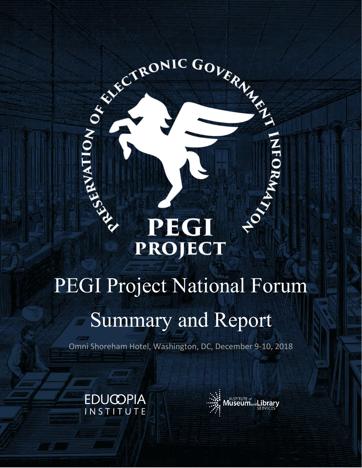# PEGI RONIC GOVERNMENT **PROJECT**

# PEGI Project National Forum Summary and Report

Omni Shoreham Hotel, Washington, DC, December 9-10, 2018



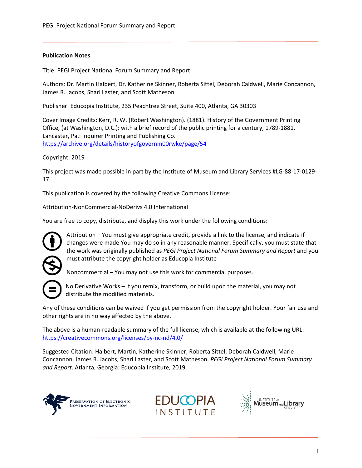# **Publication Notes**

Title: PEGI Project National Forum Summary and Report

Authors: Dr. Martin Halbert, Dr. Katherine Skinner, Roberta Sittel, Deborah Caldwell, Marie Concannon, James R. Jacobs, Shari Laster, and Scott Matheson

Publisher: Educopia Institute, 235 Peachtree Street, Suite 400, Atlanta, GA 30303

Cover Image Credits: Kerr, R. W. (Robert Washington). (1881). History of the Government Printing Office, (at Washington, D.C.): with a brief record of the public printing for a century, 1789-1881. Lancaster, Pa.: Inquirer Printing and Publishing Co. <https://archive.org/details/historyofgovernm00rwke/page/54>

# Copyright: 2019

This project was made possible in part by the Institute of Museum and Library Services #LG-88-17-0129- 17.

This publication is covered by the following Creative Commons License:

Attribution-NonCommercial-NoDerivs 4.0 International

You are free to copy, distribute, and display this work under the following conditions:



Attribution – You must give appropriate credit, provide a link to the license, and indicate if changes were made You may do so in any reasonable manner. Specifically, you must state that the work was originally published as *PEGI Project National Forum Summary and Report* and you must attribute the copyright holder as Educopia Institute

Noncommercial – You may not use this work for commercial purposes.

No Derivative Works – If you remix, transform, or build upon the material, you may not distribute the modified materials.

Any of these conditions can be waived if you get permission from the copyright holder. Your fair use and other rights are in no way affected by the above.

The above is a human-readable summary of the full license, which is available at the following URL: <https://creativecommons.org/licenses/by-nc-nd/4.0/>

Suggested Citation: Halbert, Martin, Katherine Skinner, Roberta Sittel, Deborah Caldwell, Marie Concannon, James R. Jacobs, Shari Laster, and Scott Matheson. *PEGI Project National Forum Summary and Report*. Atlanta, Georgia: Educopia Institute, 2019.





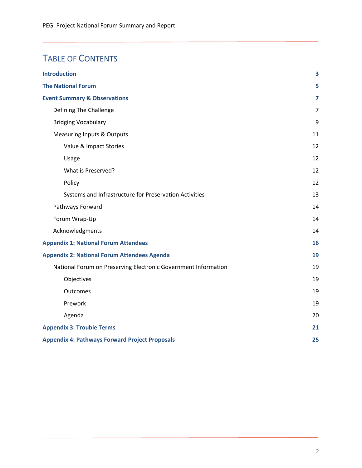# TABLE OF CONTENTS

| <b>Introduction</b>                                            | $\overline{\mathbf{3}}$ |
|----------------------------------------------------------------|-------------------------|
| <b>The National Forum</b>                                      | 5                       |
| <b>Event Summary &amp; Observations</b>                        | $\overline{7}$          |
| Defining The Challenge                                         | 7                       |
| <b>Bridging Vocabulary</b>                                     | 9                       |
| <b>Measuring Inputs &amp; Outputs</b>                          | 11                      |
| Value & Impact Stories                                         | 12                      |
| Usage                                                          | 12                      |
| What is Preserved?                                             | 12                      |
| Policy                                                         | 12                      |
| Systems and Infrastructure for Preservation Activities         | 13                      |
| Pathways Forward                                               | 14                      |
| Forum Wrap-Up                                                  | 14                      |
| Acknowledgments                                                | 14                      |
| <b>Appendix 1: National Forum Attendees</b>                    | 16                      |
| <b>Appendix 2: National Forum Attendees Agenda</b>             | 19                      |
| National Forum on Preserving Electronic Government Information | 19                      |
| Objectives                                                     | 19                      |
| Outcomes                                                       | 19                      |
| Prework                                                        | 19                      |
| Agenda                                                         | 20                      |
| <b>Appendix 3: Trouble Terms</b>                               | 21                      |
| <b>Appendix 4: Pathways Forward Project Proposals</b>          | 25                      |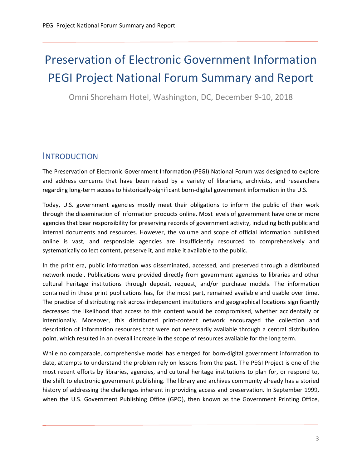# Preservation of Electronic Government Information PEGI Project National Forum Summary and Report

Omni Shoreham Hotel, Washington, DC, December 9-10, 2018

# <span id="page-3-0"></span>**INTRODUCTION**

The Preservation of Electronic Government Information (PEGI) National Forum was designed to explore and address concerns that have been raised by a variety of librarians, archivists, and researchers regarding long-term access to historically-significant born-digital government information in the U.S.

Today, U.S. government agencies mostly meet their obligations to inform the public of their work through the dissemination of information products online. Most levels of government have one or more agencies that bear responsibility for preserving records of government activity, including both public and internal documents and resources. However, the volume and scope of official information published online is vast, and responsible agencies are insufficiently resourced to comprehensively and systematically collect content, preserve it, and make it available to the public.

In the print era, public information was disseminated, accessed, and preserved through a distributed network model. Publications were provided directly from government agencies to libraries and other cultural heritage institutions through deposit, request, and/or purchase models. The information contained in these print publications has, for the most part, remained available and usable over time. The practice of distributing risk across independent institutions and geographical locations significantly decreased the likelihood that access to this content would be compromised, whether accidentally or intentionally. Moreover, this distributed print-content network encouraged the collection and description of information resources that were not necessarily available through a central distribution point, which resulted in an overall increase in the scope of resources available for the long term.

While no comparable, comprehensive model has emerged for born-digital government information to date, attempts to understand the problem rely on lessons from the past. The PEGI Project is one of the most recent efforts by libraries, agencies, and cultural heritage institutions to plan for, or respond to, the shift to electronic government publishing. The library and archives community already has a storied history of addressing the challenges inherent in providing access and preservation. In September 1999, when the U.S. Government Publishing Office (GPO), then known as the Government Printing Office,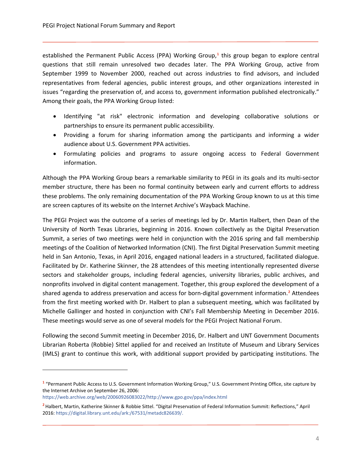established the Permanent Public Access (PPA) Working Group,<sup>[1](#page-4-0)</sup> this group began to explore central questions that still remain unresolved two decades later. The PPA Working Group, active from September 1999 to November 2000, reached out across industries to find advisors, and included representatives from federal agencies, public interest groups, and other organizations interested in issues "regarding the preservation of, and access to, government information published electronically." Among their goals, the PPA Working Group listed:

- Identifying "at risk" electronic information and developing collaborative solutions or partnerships to ensure its permanent public accessibility.
- Providing a forum for sharing information among the participants and informing a wider audience about U.S. Government PPA activities.
- Formulating policies and programs to assure ongoing access to Federal Government information.

Although the PPA Working Group bears a remarkable similarity to PEGI in its goals and its multi-sector member structure, there has been no formal continuity between early and current efforts to address these problems. The only remaining documentation of the PPA Working Group known to us at this time are screen captures of its website on the Internet Archive's Wayback Machine.

The PEGI Project was the outcome of a series of meetings led by Dr. Martin Halbert, then Dean of the University of North Texas Libraries, beginning in 2016. Known collectively as the Digital Preservation Summit, a series of two meetings were held in conjunction with the 2016 spring and fall membership meetings of the Coalition of Networked Information (CNI). The first Digital Preservation Summit meeting held in San Antonio, Texas, in April 2016, engaged national leaders in a structured, facilitated dialogue. Facilitated by Dr. Katherine Skinner, the 28 attendees of this meeting intentionally represented diverse sectors and stakeholder groups, including federal agencies, university libraries, public archives, and nonprofits involved in digital content management. Together, this group explored the development of a shared agenda to address preservation and access for born-digital government information.**[2](#page-4-1)** Attendees from the first meeting worked with Dr. Halbert to plan a subsequent meeting, which was facilitated by Michelle Gallinger and hosted in conjunction with CNI's Fall Membership Meeting in December 2016. These meetings would serve as one of several models for the PEGI Project National Forum.

Following the second Summit meeting in December 2016, Dr. Halbert and UNT Government Documents Librarian Roberta (Robbie) Sittel applied for and received an Institute of Museum and Library Services (IMLS) grant to continue this work, with additional support provided by participating institutions. The

<span id="page-4-0"></span>**<sup>1</sup>** "Permanent Public Access to U.S. Government Information Working Group," U.S. Government Printing Office, site capture by the Internet Archive on September 26, 2006:

[https://web.archive.org/web/20060926083022/http://www.gpo.gov/ppa/index.html](https://web.archive.org/web/20060926083022/http:/www.gpo.gov/ppa/index.html)

<span id="page-4-1"></span>**<sup>2</sup>**Halbert, Martin, Katherine Skinner & Robbie Sittel. "Digital Preservation of Federal Information Summit: Reflections," April 2016[: https://digital.library.unt.edu/ark:/67531/metadc826639/.](https://digital.library.unt.edu/ark:/67531/metadc826639/)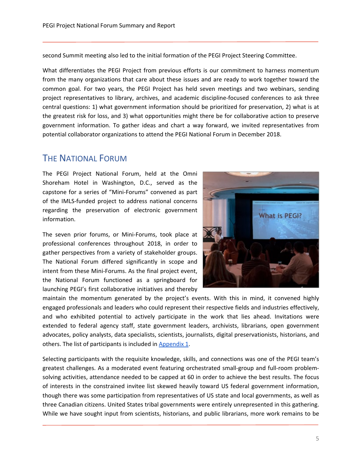second Summit meeting also led to the initial formation of the PEGI Project Steering Committee.

What differentiates the PEGI Project from previous efforts is our commitment to harness momentum from the many organizations that care about these issues and are ready to work together toward the common goal. For two years, the PEGI Project has held seven meetings and two webinars, sending project representatives to library, archives, and academic discipline-focused conferences to ask three central questions: 1) what government information should be prioritized for preservation, 2) what is at the greatest risk for loss, and 3) what opportunities might there be for collaborative action to preserve government information. To gather ideas and chart a way forward, we invited representatives from potential collaborator organizations to attend the PEGI National Forum in December 2018.

# <span id="page-5-0"></span>THE NATIONAL FORUM

The PEGI Project National Forum, held at the Omni Shoreham Hotel in Washington, D.C., served as the capstone for a series of "Mini-Forums" convened as part of the IMLS-funded project to address national concerns regarding the preservation of electronic government information.

The seven prior forums, or Mini-Forums, took place at professional conferences throughout 2018, in order to gather perspectives from a variety of stakeholder groups. The National Forum differed significantly in scope and intent from these Mini-Forums. As the final project event, the National Forum functioned as a springboard for launching PEGI's first collaborative initiatives and thereby



maintain the momentum generated by the project's events. With this in mind, it convened highly engaged professionals and leaders who could represent their respective fields and industries effectively, and who exhibited potential to actively participate in the work that lies ahead. Invitations were extended to federal agency staff, state government leaders, archivists, librarians, open government advocates, policy analysts, data specialists, scientists, journalists, digital preservationists, historians, and others. The list of participants is included in [Appendix 1.](#page-16-1)

Selecting participants with the requisite knowledge, skills, and connections was one of the PEGI team's greatest challenges. As a moderated event featuring orchestrated small-group and full-room problemsolving activities, attendance needed to be capped at 60 in order to achieve the best results. The focus of interests in the constrained invitee list skewed heavily toward US federal government information, though there was some participation from representatives of US state and local governments, as well as three Canadian citizens. United States tribal governments were entirely unrepresented in this gathering. While we have sought input from scientists, historians, and public librarians, more work remains to be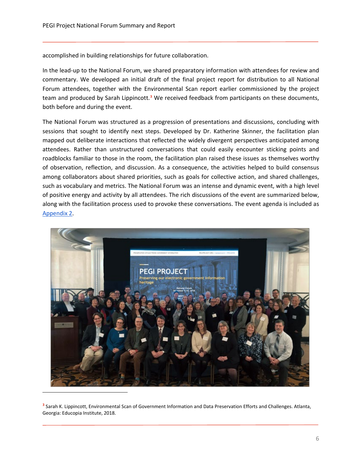accomplished in building relationships for future collaboration.

In the lead-up to the National Forum, we shared preparatory information with attendees for review and commentary. We developed an initial draft of the final project report for distribution to all National Forum attendees, together with the Environmental Scan report earlier commissioned by the project team and produced by Sarah Lippincott.**[3](#page-6-0)** We received feedback from participants on these documents, both before and during the event.

The National Forum was structured as a progression of presentations and discussions, concluding with sessions that sought to identify next steps. Developed by Dr. Katherine Skinner, the facilitation plan mapped out deliberate interactions that reflected the widely divergent perspectives anticipated among attendees. Rather than unstructured conversations that could easily encounter sticking points and roadblocks familiar to those in the room, the facilitation plan raised these issues as themselves worthy of observation, reflection, and discussion. As a consequence, the activities helped to build consensus among collaborators about shared priorities, such as goals for collective action, and shared challenges, such as vocabulary and metrics. The National Forum was an intense and dynamic event, with a high level of positive energy and activity by all attendees. The rich discussions of the event are summarized below, along with the facilitation process used to provoke these conversations. The event agenda is included as [Appendix 2.](#page-19-5)



<span id="page-6-0"></span>**<sup>3</sup>** Sarah K. Lippincott, Environmental Scan of Government Information and Data Preservation Efforts and Challenges. Atlanta, Georgia: Educopia Institute, 2018.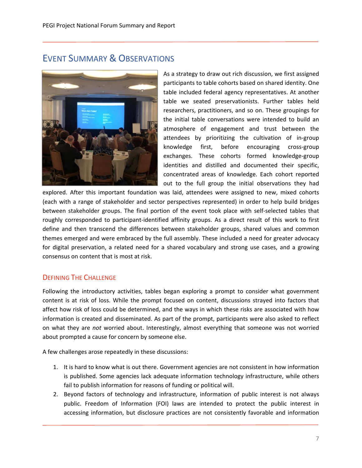# <span id="page-7-0"></span>EVENT SUMMARY & OBSERVATIONS



As a strategy to draw out rich discussion, we first assigned participants to table cohorts based on shared identity. One table included federal agency representatives. At another table we seated preservationists. Further tables held researchers, practitioners, and so on. These groupings for the initial table conversations were intended to build an atmosphere of engagement and trust between the attendees by prioritizing the cultivation of in-group knowledge first, before encouraging cross-group exchanges. These cohorts formed knowledge-group identities and distilled and documented their specific, concentrated areas of knowledge. Each cohort reported out to the full group the initial observations they had

explored. After this important foundation was laid, attendees were assigned to new, mixed cohorts (each with a range of stakeholder and sector perspectives represented) in order to help build bridges between stakeholder groups. The final portion of the event took place with self-selected tables that roughly corresponded to participant-identified affinity groups. As a direct result of this work to first define and then transcend the differences between stakeholder groups, shared values and common themes emerged and were embraced by the full assembly. These included a need for greater advocacy for digital preservation, a related need for a shared vocabulary and strong use cases, and a growing consensus on content that is most at risk.

# <span id="page-7-1"></span>DEFINING THE CHALLENGE

Following the introductory activities, tables began exploring a prompt to consider what government content is at risk of loss. While the prompt focused on content, discussions strayed into factors that affect how risk of loss could be determined, and the ways in which these risks are associated with how information is created and disseminated. As part of the prompt, participants were also asked to reflect on what they are *not* worried about. Interestingly, almost everything that someone was not worried about prompted a cause for concern by someone else.

A few challenges arose repeatedly in these discussions:

- 1. It is hard to know what is out there. Government agencies are not consistent in how information is published. Some agencies lack adequate information technology infrastructure, while others fail to publish information for reasons of funding or political will.
- 2. Beyond factors of technology and infrastructure, information of public interest is not always public. Freedom of Information (FOI) laws are intended to protect the public interest in accessing information, but disclosure practices are not consistently favorable and information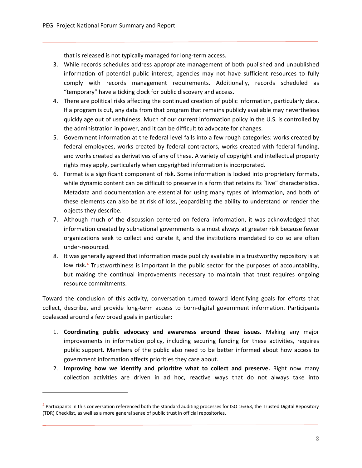that is released is not typically managed for long-term access.

- 3. While records schedules address appropriate management of both published and unpublished information of potential public interest, agencies may not have sufficient resources to fully comply with records management requirements. Additionally, records scheduled as "temporary" have a ticking clock for public discovery and access.
- 4. There are political risks affecting the continued creation of public information, particularly data. If a program is cut, any data from that program that remains publicly available may nevertheless quickly age out of usefulness. Much of our current information policy in the U.S. is controlled by the administration in power, and it can be difficult to advocate for changes.
- 5. Government information at the federal level falls into a few rough categories: works created by federal employees, works created by federal contractors, works created with federal funding, and works created as derivatives of any of these. A variety of copyright and intellectual property rights may apply, particularly when copyrighted information is incorporated.
- 6. Format is a significant component of risk. Some information is locked into proprietary formats, while dynamic content can be difficult to preserve in a form that retains its "live" characteristics. Metadata and documentation are essential for using many types of information, and both of these elements can also be at risk of loss, jeopardizing the ability to understand or render the objects they describe.
- 7. Although much of the discussion centered on federal information, it was acknowledged that information created by subnational governments is almost always at greater risk because fewer organizations seek to collect and curate it, and the institutions mandated to do so are often under-resourced.
- 8. It was generally agreed that information made publicly available in a trustworthy repository is at low risk.**[4](#page-8-0)** Trustworthiness is important in the public sector for the purposes of accountability, but making the continual improvements necessary to maintain that trust requires ongoing resource commitments.

Toward the conclusion of this activity, conversation turned toward identifying goals for efforts that collect, describe, and provide long-term access to born-digital government information. Participants coalesced around a few broad goals in particular:

- 1. **Coordinating public advocacy and awareness around these issues.** Making any major improvements in information policy, including securing funding for these activities, requires public support. Members of the public also need to be better informed about how access to government information affects priorities they care about.
- 2. **Improving how we identify and prioritize what to collect and preserve.** Right now many collection activities are driven in ad hoc, reactive ways that do not always take into

<span id="page-8-0"></span>**<sup>4</sup>** Participants in this conversation referenced both the standard auditing processes for ISO 16363, the Trusted Digital Repository (TDR) Checklist, as well as a more general sense of public trust in official repositories.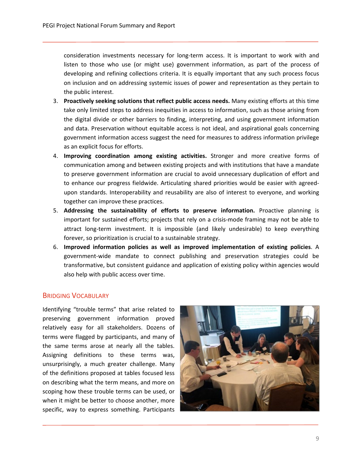consideration investments necessary for long-term access. It is important to work with and listen to those who use (or might use) government information, as part of the process of developing and refining collections criteria. It is equally important that any such process focus on inclusion and on addressing systemic issues of power and representation as they pertain to the public interest.

- 3. **Proactively seeking solutions that reflect public access needs.** Many existing efforts at this time take only limited steps to address inequities in access to information, such as those arising from the digital divide or other barriers to finding, interpreting, and using government information and data. Preservation without equitable access is not ideal, and aspirational goals concerning government information access suggest the need for measures to address information privilege as an explicit focus for efforts.
- 4. **Improving coordination among existing activities.** Stronger and more creative forms of communication among and between existing projects and with institutions that have a mandate to preserve government information are crucial to avoid unnecessary duplication of effort and to enhance our progress fieldwide. Articulating shared priorities would be easier with agreedupon standards. Interoperability and reusability are also of interest to everyone, and working together can improve these practices.
- 5. **Addressing the sustainability of efforts to preserve information.** Proactive planning is important for sustained efforts; projects that rely on a crisis-mode framing may not be able to attract long-term investment. It is impossible (and likely undesirable) to keep everything forever, so prioritization is crucial to a sustainable strategy.
- 6. **Improved information policies as well as improved implementation of existing policies**. A government-wide mandate to connect publishing and preservation strategies could be transformative, but consistent guidance and application of existing policy within agencies would also help with public access over time.

# <span id="page-9-0"></span>BRIDGING VOCABULARY

Identifying "trouble terms" that arise related to preserving government information proved relatively easy for all stakeholders. Dozens of terms were flagged by participants, and many of the same terms arose at nearly all the tables. Assigning definitions to these terms was, unsurprisingly, a much greater challenge. Many of the definitions proposed at tables focused less on describing what the term means, and more on scoping how these trouble terms can be used, or when it might be better to choose another, more specific, way to express something. Participants

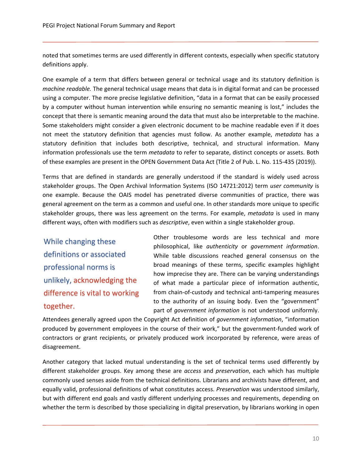noted that sometimes terms are used differently in different contexts, especially when specific statutory definitions apply.

One example of a term that differs between general or technical usage and its statutory definition is *machine readable.* The general technical usage means that data is in digital format and can be processed using a computer. The more precise legislative definition, "data in a format that can be easily processed by a computer without human intervention while ensuring no semantic meaning is lost," includes the concept that there is semantic meaning around the data that must also be interpretable to the machine. Some stakeholders might consider a given electronic document to be machine readable even if it does not meet the statutory definition that agencies must follow. As another example, *metadata* has a statutory definition that includes both descriptive, technical, and structural information. Many information professionals use the term *metadata* to refer to separate, distinct concepts or assets. Both of these examples are present in the OPEN Government Data Act (Title 2 of Pub. L. No. 115-435 (2019)).

Terms that are defined in standards are generally understood if the standard is widely used across stakeholder groups. The Open Archival Information Systems (ISO 14721:2012) term *user community* is one example. Because the OAIS model has penetrated diverse communities of practice, there was general agreement on the term as a common and useful one. In other standards more unique to specific stakeholder groups, there was less agreement on the terms. For example, *metadata* is used in many different ways, often with modifiers such as *descriptive*, even within a single stakeholder group.

While changing these definitions or associated professional norms is unlikely, acknowledging the difference is vital to working together.

Other troublesome words are less technical and more philosophical, like *authenticity* or *government information*. While table discussions reached general consensus on the broad meanings of these terms, specific examples highlight how imprecise they are. There can be varying understandings of what made a particular piece of information authentic, from chain-of-custody and technical anti-tampering measures to the authority of an issuing body. Even the "government" part of *government information* is not understood uniformly.

Attendees generally agreed upon the Copyright Act definition of *government information*, "information produced by government employees in the course of their work," but the government-funded work of contractors or grant recipients, or privately produced work incorporated by reference, were areas of disagreement.

Another category that lacked mutual understanding is the set of technical terms used differently by different stakeholder groups. Key among these are *access* and *preservation*, each which has multiple commonly used senses aside from the technical definitions. Librarians and archivists have different, and equally valid, professional definitions of what constitutes access. *Preservation* was understood similarly, but with different end goals and vastly different underlying processes and requirements, depending on whether the term is described by those specializing in digital preservation, by librarians working in open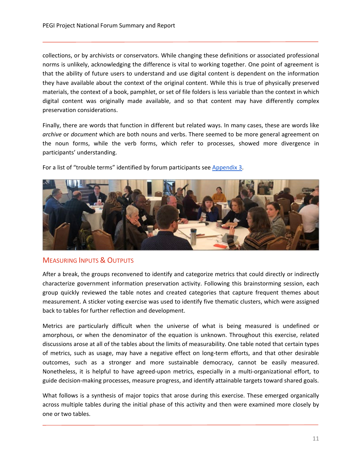collections, or by archivists or conservators. While changing these definitions or associated professional norms is unlikely, acknowledging the difference is vital to working together. One point of agreement is that the ability of future users to understand and use digital content is dependent on the information they have available about the context of the original content. While this is true of physically preserved materials, the context of a book, pamphlet, or set of file folders is less variable than the context in which digital content was originally made available, and so that content may have differently complex preservation considerations.

Finally, there are words that function in different but related ways. In many cases, these are words like *archive* or *document* which are both nouns and verbs. There seemed to be more general agreement on the noun forms, while the verb forms, which refer to processes, showed more divergence in participants' understanding.

For a list of "trouble terms" identified by forum participants see [Appendix 3.](#page-21-0)



# <span id="page-11-0"></span>**MEASURING INPUTS & OUTPUTS**

After a break, the groups reconvened to identify and categorize metrics that could directly or indirectly characterize government information preservation activity. Following this brainstorming session, each group quickly reviewed the table notes and created categories that capture frequent themes about measurement. A sticker voting exercise was used to identify five thematic clusters, which were assigned back to tables for further reflection and development.

Metrics are particularly difficult when the universe of what is being measured is undefined or amorphous, or when the denominator of the equation is unknown. Throughout this exercise, related discussions arose at all of the tables about the limits of measurability. One table noted that certain types of metrics, such as usage, may have a negative effect on long-term efforts, and that other desirable outcomes, such as a stronger and more sustainable democracy, cannot be easily measured. Nonetheless, it is helpful to have agreed-upon metrics, especially in a multi-organizational effort, to guide decision-making processes, measure progress, and identify attainable targets toward shared goals.

What follows is a synthesis of major topics that arose during this exercise. These emerged organically across multiple tables during the initial phase of this activity and then were examined more closely by one or two tables.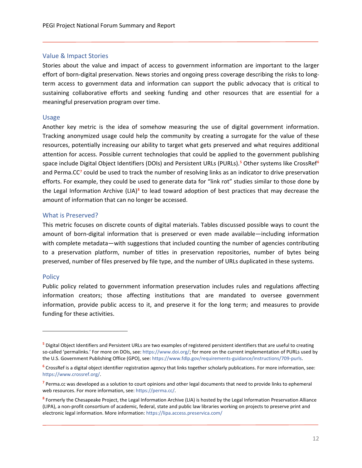#### <span id="page-12-0"></span>Value & Impact Stories

Stories about the value and impact of access to government information are important to the larger effort of born-digital preservation. News stories and ongoing press coverage describing the risks to longterm access to government data and information can support the public advocacy that is critical to sustaining collaborative efforts and seeking funding and other resources that are essential for a meaningful preservation program over time.

#### <span id="page-12-1"></span>Usage

Another key metric is the idea of somehow measuring the use of digital government information. Tracking anonymized usage could help the community by creating a surrogate for the value of these resources, potentially increasing our ability to target what gets preserved and what requires additional attention for access. Possible current technologies that could be applied to the government publishing space include Digital Object Identifiers (DOIs) and Persistent URLs (PURLs).**[5](#page-12-4)** Other systems like CrossRef**[6](#page-12-5)** and Perma.CC**[7](#page-12-6)** could be used to track the number of resolving links as an indicator to drive preservation efforts. For example, they could be used to generate data for "link rot" studies similar to those done by the Legal Information Archive (LIA)**[8](#page-12-7)** to lead toward adoption of best practices that may decrease the amount of information that can no longer be accessed.

#### <span id="page-12-2"></span>What is Preserved?

This metric focuses on discrete counts of digital materials. Tables discussed possible ways to count the amount of born-digital information that is preserved or even made available—including information with complete metadata—with suggestions that included counting the number of agencies contributing to a preservation platform, number of titles in preservation repositories, number of bytes being preserved, number of files preserved by file type, and the number of URLs duplicated in these systems.

#### <span id="page-12-3"></span>**Policy**

Public policy related to government information preservation includes rules and regulations affecting information creators; those affecting institutions that are mandated to oversee government information, provide public access to it, and preserve it for the long term; and measures to provide funding for these activities.

<span id="page-12-4"></span>**<sup>5</sup>** Digital Object Identifiers and Persistent URLs are two examples of registered persistent identifiers that are useful to creating so-called 'permalinks.' For more on DOIs, see[: https://www.doi.org/;](https://www.doi.org/) for more on the current implementation of PURLs used by the U.S. Government Publishing Office (GPO), see[: https://www.fdlp.gov/requirements-guidance/instructions/709-purls.](https://www.fdlp.gov/requirements-guidance/instructions/709-purls) 

<span id="page-12-5"></span>**<sup>6</sup>** CrossRef is a digital object identifier registration agency that links together scholarly publications. For more information, see: [https://www.crossref.org/.](https://www.crossref.org/)

<span id="page-12-6"></span>**<sup>7</sup>** Perma.cc was developed as a solution to court opinions and other legal documents that need to provide links to ephemeral web resources. For more information, see: [https://perma.cc/.](https://perma.cc/) 

<span id="page-12-7"></span>**<sup>8</sup>** Formerly the Chesapeake Project, the Legal Information Archive (LIA) is hosted by the Legal Information Preservation Alliance (LIPA), a non-profit consortium of academic, federal, state and public law libraries working on projects to preserve print and electronic legal information. More information[: https://lipa.access.preservica.com/](https://lipa.access.preservica.com/)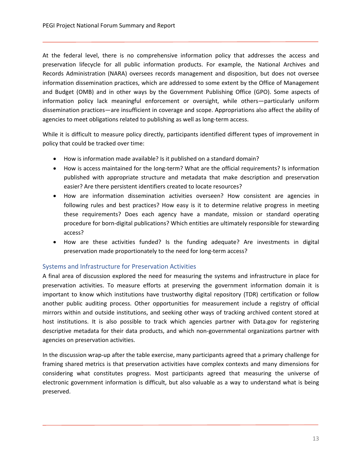At the federal level, there is no comprehensive information policy that addresses the access and preservation lifecycle for all public information products. For example, the National Archives and Records Administration (NARA) oversees records management and disposition, but does not oversee information dissemination practices, which are addressed to some extent by the Office of Management and Budget (OMB) and in other ways by the Government Publishing Office (GPO). Some aspects of information policy lack meaningful enforcement or oversight, while others—particularly uniform dissemination practices—are insufficient in coverage and scope. Appropriations also affect the ability of agencies to meet obligations related to publishing as well as long-term access.

While it is difficult to measure policy directly, participants identified different types of improvement in policy that could be tracked over time:

- How is information made available? Is it published on a standard domain?
- How is access maintained for the long-term? What are the official requirements? Is information published with appropriate structure and metadata that make description and preservation easier? Are there persistent identifiers created to locate resources?
- How are information dissemination activities overseen? How consistent are agencies in following rules and best practices? How easy is it to determine relative progress in meeting these requirements? Does each agency have a mandate, mission or standard operating procedure for born-digital publications? Which entities are ultimately responsible for stewarding access?
- How are these activities funded? Is the funding adequate? Are investments in digital preservation made proportionately to the need for long-term access?

# <span id="page-13-0"></span>Systems and Infrastructure for Preservation Activities

A final area of discussion explored the need for measuring the systems and infrastructure in place for preservation activities. To measure efforts at preserving the government information domain it is important to know which institutions have trustworthy digital repository (TDR) certification or follow another public auditing process. Other opportunities for measurement include a registry of official mirrors within and outside institutions, and seeking other ways of tracking archived content stored at host institutions. It is also possible to track which agencies partner with Data.gov for registering descriptive metadata for their data products, and which non-governmental organizations partner with agencies on preservation activities.

In the discussion wrap-up after the table exercise, many participants agreed that a primary challenge for framing shared metrics is that preservation activities have complex contexts and many dimensions for considering what constitutes progress. Most participants agreed that measuring the universe of electronic government information is difficult, but also valuable as a way to understand what is being preserved.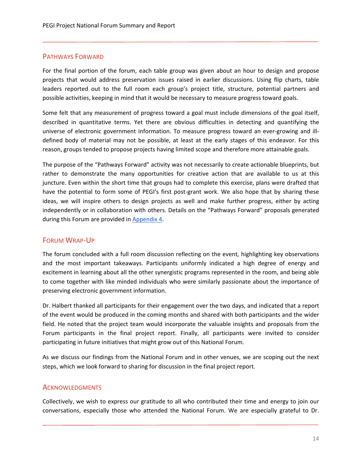# <span id="page-14-0"></span>PATHWAYS FORWARD

For the final portion of the forum, each table group was given about an hour to design and propose projects that would address preservation issues raised in earlier discussions. Using flip charts, table leaders reported out to the full room each group's project title, structure, potential partners and possible activities, keeping in mind that it would be necessary to measure progress toward goals.

Some felt that any measurement of progress toward a goal must include dimensions of the goal itself, described in quantitative terms. Yet there are obvious difficulties in detecting and quantifying the universe of electronic government information. To measure progress toward an ever-growing and illdefined body of material may not be possible, at least at the early stages of this endeavor. For this reason, groups tended to propose projects having limited scope and therefore more attainable goals.

The purpose of the "Pathways Forward" activity was not necessarily to create actionable blueprints, but rather to demonstrate the many opportunities for creative action that are available to us at this juncture. Even within the short time that groups had to complete this exercise, plans were drafted that have the potential to form some of PEGI's first post-grant work. We also hope that by sharing these ideas, we will inspire others to design projects as well and make further progress, either by acting independently or in collaboration with others. Details on the "Pathways Forward" proposals generated during this Forum are provided in [Appendix 4.](#page-25-0)

# <span id="page-14-1"></span>FORUM WRAP-UP

The forum concluded with a full room discussion reflecting on the event, highlighting key observations and the most important takeaways. Participants uniformly indicated a high degree of energy and excitement in learning about all the other synergistic programs represented in the room, and being able to come together with like minded individuals who were similarly passionate about the importance of preserving electronic government information.

Dr. Halbert thanked all participants for their engagement over the two days, and indicated that a report of the event would be produced in the coming months and shared with both participants and the wider field. He noted that the project team would incorporate the valuable insights and proposals from the Forum participants in the final project report. Finally, all participants were invited to consider participating in future initiatives that might grow out of this National Forum.

As we discuss our findings from the National Forum and in other venues, we are scoping out the next steps, which we look forward to sharing for discussion in the final project report.

# <span id="page-14-2"></span>**ACKNOWLEDGMENTS**

Collectively, we wish to express our gratitude to all who contributed their time and energy to join our conversations, especially those who attended the National Forum. We are especially grateful to Dr.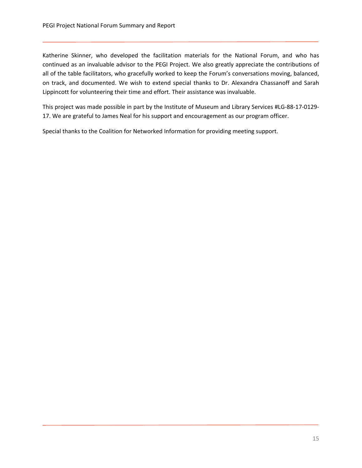Katherine Skinner, who developed the facilitation materials for the National Forum, and who has continued as an invaluable advisor to the PEGI Project. We also greatly appreciate the contributions of all of the table facilitators, who gracefully worked to keep the Forum's conversations moving, balanced, on track, and documented. We wish to extend special thanks to Dr. Alexandra Chassanoff and Sarah Lippincott for volunteering their time and effort. Their assistance was invaluable.

This project was made possible in part by the Institute of Museum and Library Services #LG-88-17-0129- 17. We are grateful to James Neal for his support and encouragement as our program officer.

Special thanks to the Coalition for Networked Information for providing meeting support.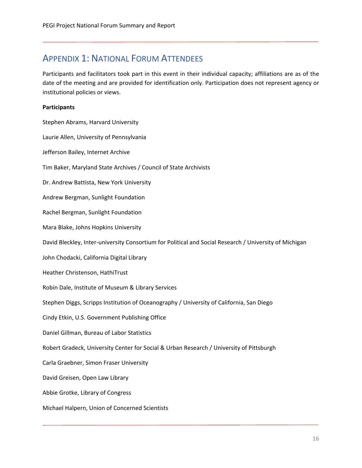# <span id="page-16-1"></span><span id="page-16-0"></span>APPENDIX 1: NATIONAL FORUM ATTENDEES

Participants and facilitators took part in this event in their individual capacity; affiliations are as of the date of the meeting and are provided for identification only. Participation does not represent agency or institutional policies or views.

# **Participants**

Stephen Abrams, Harvard University Laurie Allen, University of Pennsylvania Jefferson Bailey, Internet Archive Tim Baker, Maryland State Archives / Council of State Archivists Dr. Andrew Battista, New York University Andrew Bergman, Sunlight Foundation Rachel Bergman, Sunlight Foundation Mara Blake, Johns Hopkins University David Bleckley, Inter-university Consortium for Political and Social Research / University of Michigan John Chodacki, California Digital Library Heather Christenson, HathiTrust Robin Dale, Institute of Museum & Library Services Stephen Diggs, Scripps Institution of Oceanography / University of California, San Diego Cindy Etkin, U.S. Government Publishing Office Daniel Gillman, Bureau of Labor Statistics Robert Gradeck, University Center for Social & Urban Research / University of Pittsburgh Carla Graebner, Simon Fraser University David Greisen, Open Law Library Abbie Grotke, Library of Congress Michael Halpern, Union of Concerned Scientists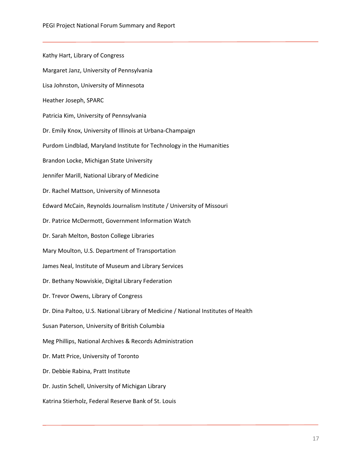Kathy Hart, Library of Congress Margaret Janz, University of Pennsylvania Lisa Johnston, University of Minnesota Heather Joseph, SPARC Patricia Kim, University of Pennsylvania Dr. Emily Knox, University of Illinois at Urbana-Champaign Purdom Lindblad, Maryland Institute for Technology in the Humanities Brandon Locke, Michigan State University Jennifer Marill, National Library of Medicine Dr. Rachel Mattson, University of Minnesota Edward McCain, Reynolds Journalism Institute / University of Missouri Dr. Patrice McDermott, Government Information Watch Dr. Sarah Melton, Boston College Libraries Mary Moulton, U.S. Department of Transportation James Neal, Institute of Museum and Library Services Dr. Bethany Nowviskie, Digital Library Federation Dr. Trevor Owens, Library of Congress Dr. Dina Paltoo, U.S. National Library of Medicine / National Institutes of Health Susan Paterson, University of British Columbia Meg Phillips, National Archives & Records Administration Dr. Matt Price, University of Toronto Dr. Debbie Rabina, Pratt Institute Dr. Justin Schell, University of Michigan Library Katrina Stierholz, Federal Reserve Bank of St. Louis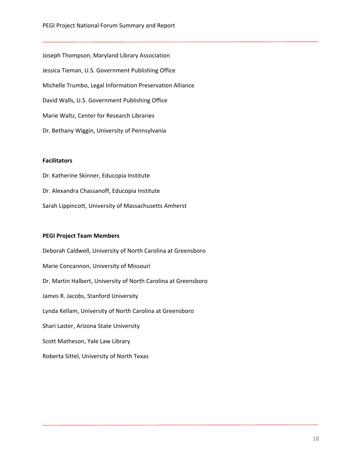Joseph Thompson, Maryland Library Association Jessica Tieman, U.S. Government Publishing Office Michelle Trumbo, Legal Information Preservation Alliance David Walls, U.S. Government Publishing Office Marie Waltz, Center for Research Libraries Dr. Bethany Wiggin, University of Pennsylvania

#### **Facilitators**

Dr. Katherine Skinner, Educopia Institute Dr. Alexandra Chassanoff, Educopia Institute Sarah Lippincott, University of Massachusetts Amherst

#### **PEGI Project Team Members**

Roberta Sittel, University of North Texas

Deborah Caldwell, University of North Carolina at Greensboro Marie Concannon, University of Missouri Dr. Martin Halbert, University of North Carolina at Greensboro James R. Jacobs, Stanford University Lynda Kellam, University of North Carolina at Greensboro Shari Laster, Arizona State University Scott Matheson, Yale Law Library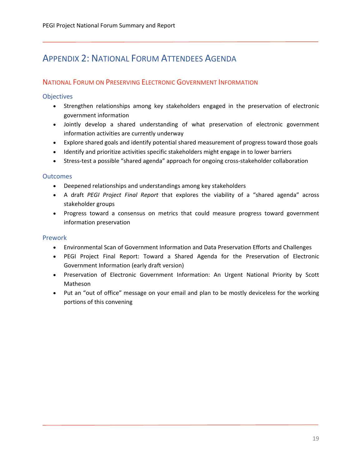# <span id="page-19-5"></span><span id="page-19-0"></span>APPENDIX 2: NATIONAL FORUM ATTENDEES AGENDA

# <span id="page-19-1"></span>NATIONAL FORUM ON PRESERVING ELECTRONIC GOVERNMENT INFORMATION

<span id="page-19-2"></span>**Objectives** 

- Strengthen relationships among key stakeholders engaged in the preservation of electronic government information
- Jointly develop a shared understanding of what preservation of electronic government information activities are currently underway
- Explore shared goals and identify potential shared measurement of progress toward those goals
- Identify and prioritize activities specific stakeholders might engage in to lower barriers
- Stress-test a possible "shared agenda" approach for ongoing cross-stakeholder collaboration

# <span id="page-19-3"></span>**Outcomes**

- Deepened relationships and understandings among key stakeholders
- A draft *PEGI Project Final Report* that explores the viability of a "shared agenda" across stakeholder groups
- Progress toward a consensus on metrics that could measure progress toward government information preservation

# <span id="page-19-4"></span>Prework

- Environmental Scan of Government Information and Data Preservation Efforts and Challenges
- PEGI Project Final Report: Toward a Shared Agenda for the Preservation of Electronic Government Information (early draft version)
- Preservation of Electronic Government Information: An Urgent National Priority by Scott Matheson
- Put an "out of office" message on your email and plan to be mostly deviceless for the working portions of this convening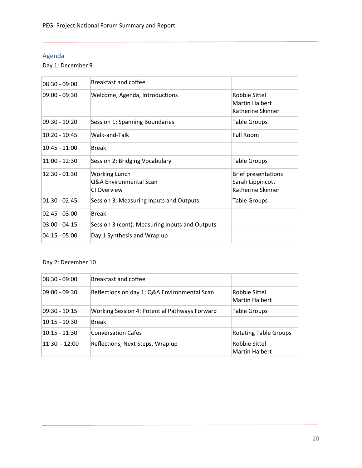# <span id="page-20-0"></span>Agenda

Day 1: December 9

| $08:30 - 09:00$ | Breakfast and coffee                                          |                                                                     |
|-----------------|---------------------------------------------------------------|---------------------------------------------------------------------|
| $09:00 - 09:30$ | Welcome, Agenda, Introductions                                | Robbie Sittel<br><b>Martin Halbert</b><br>Katherine Skinner         |
| $09:30 - 10:20$ | Session 1: Spanning Boundaries                                | <b>Table Groups</b>                                                 |
| $10:20 - 10:45$ | Walk-and-Talk                                                 | <b>Full Room</b>                                                    |
| $10:45 - 11:00$ | <b>Break</b>                                                  |                                                                     |
| $11:00 - 12:30$ | Session 2: Bridging Vocabulary                                | <b>Table Groups</b>                                                 |
| $12:30 - 01:30$ | <b>Working Lunch</b><br>Q&A Environmental Scan<br>CI Overview | <b>Brief presentations</b><br>Sarah Lippincott<br>Katherine Skinner |
| $01:30 - 02:45$ | Session 3: Measuring Inputs and Outputs                       | <b>Table Groups</b>                                                 |
| $02:45 - 03:00$ | Break                                                         |                                                                     |
| $03:00 - 04:15$ | Session 3 (cont): Measuring Inputs and Outputs                |                                                                     |
| $04:15 - 05:00$ | Day 1 Synthesis and Wrap up                                   |                                                                     |

# Day 2: December 10

<span id="page-20-1"></span>

| $08:30 - 09:00$ | Breakfast and coffee                          |                                        |
|-----------------|-----------------------------------------------|----------------------------------------|
| 09:00 - 09:30   | Reflections on day 1; Q&A Environmental Scan  | Robbie Sittel<br><b>Martin Halbert</b> |
| $09:30 - 10:15$ | Working Session 4: Potential Pathways Forward | <b>Table Groups</b>                    |
| 10:15 - 10:30   | Break                                         |                                        |
| 10:15 - 11:30   | Conversation Cafes                            | <b>Rotating Table Groups</b>           |
| 11:30 - 12:00   | Reflections, Next Steps, Wrap up              | Robbie Sittel<br><b>Martin Halbert</b> |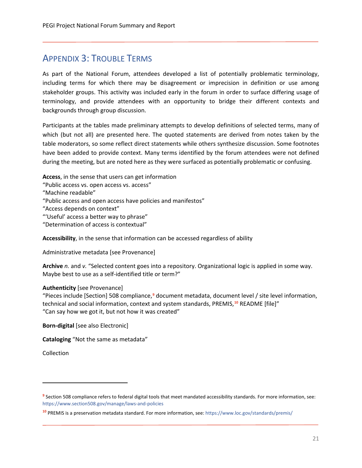# <span id="page-21-0"></span>APPENDIX 3: TROUBLE TERMS

As part of the National Forum, attendees developed a list of potentially problematic terminology, including terms for which there may be disagreement or imprecision in definition or use among stakeholder groups. This activity was included early in the forum in order to surface differing usage of terminology, and provide attendees with an opportunity to bridge their different contexts and backgrounds through group discussion.

Participants at the tables made preliminary attempts to develop definitions of selected terms, many of which (but not all) are presented here. The quoted statements are derived from notes taken by the table moderators, so some reflect direct statements while others synthesize discussion. Some footnotes have been added to provide context. Many terms identified by the forum attendees were not defined during the meeting, but are noted here as they were surfaced as potentially problematic or confusing.

**Access**, in the sense that users can get information

"Public access vs. open access vs. access"

"Machine readable"

"Public access and open access have policies and manifestos"

"Access depends on context"

"'Useful' access a better way to phrase"

"Determination of access is contextual"

**Accessibility**, in the sense that information can be accessed regardless of ability

Administrative metadata [see Provenance]

**Archive** *n.* and *v.* "Selected content goes into a repository. Organizational logic is applied in some way. Maybe best to use as a self-identified title or term?"

# **Authenticity** [see Provenance]

"Pieces include [Section] 508 compliance,**[9](#page-21-1)** document metadata, document level / site level information, technical and social information, context and system standards, PREMIS,**[10](#page-21-2)** README [file]" "Can say how we got it, but not how it was created"

**Born-digital** [see also Electronic]

**Cataloging** "Not the same as metadata"

Collection

<span id="page-21-1"></span>**<sup>9</sup>** Section 508 compliance refers to federal digital tools that meet mandated accessibility standards. For more information, see: <https://www.section508.gov/manage/laws-and-policies>

<span id="page-21-2"></span>**<sup>10</sup>** PREMIS is a preservation metadata standard. For more information, see[: https://www.loc.gov/standards/premis/](https://www.loc.gov/standards/premis/)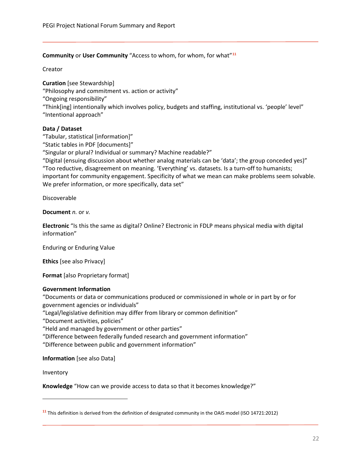# **Community** or **User Community** "Access to whom, for whom, for what"**[11](#page-22-0)**

Creator

**Curation** [see Stewardship] "Philosophy and commitment vs. action or activity" "Ongoing responsibility" "Think[ing] intentionally which involves policy, budgets and staffing, institutional vs. 'people' level" "Intentional approach"

# **Data / Dataset**

"Tabular, statistical [information]"

"Static tables in PDF [documents]"

"Singular or plural? Individual or summary? Machine readable?"

"Digital (ensuing discussion about whether analog materials can be 'data'; the group conceded yes)" "Too reductive, disagreement on meaning. 'Everything' vs. datasets. Is a turn-off to humanists; important for community engagement. Specificity of what we mean can make problems seem solvable. We prefer information, or more specifically, data set"

Discoverable

**Document** *n.* or *v.*

**Electronic** "Is this the same as digital? Online? Electronic in FDLP means physical media with digital information"

Enduring or Enduring Value

**Ethics** [see also Privacy]

**Format** [also Proprietary format]

# **Government Information**

"Documents or data or communications produced or commissioned in whole or in part by or for government agencies or individuals"

"Legal/legislative definition may differ from library or common definition"

"Document activities, policies"

"Held and managed by government or other parties"

"Difference between federally funded research and government information"

"Difference between public and government information"

**Information** [see also Data]

Inventory

**Knowledge** "How can we provide access to data so that it becomes knowledge?"

<span id="page-22-0"></span>**<sup>11</sup>** This definition is derived from the definition of designated community in the OAIS model (ISO 14721:2012)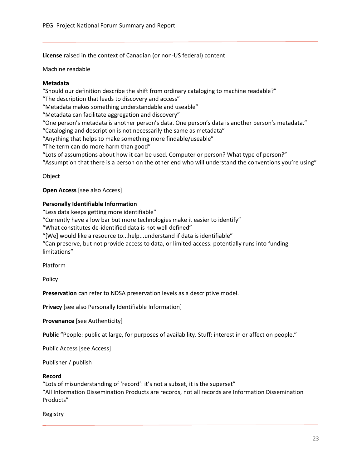**License** raised in the context of Canadian (or non-US federal) content

Machine readable

# **Metadata**

"Should our definition describe the shift from ordinary cataloging to machine readable?"

"The description that leads to discovery and access"

"Metadata makes something understandable and useable"

"Metadata can facilitate aggregation and discovery"

"One person's metadata is another person's data. One person's data is another person's metadata."

"Cataloging and description is not necessarily the same as metadata"

"Anything that helps to make something more findable/useable"

"The term can do more harm than good"

"Lots of assumptions about how it can be used. Computer or person? What type of person?"

"Assumption that there is a person on the other end who will understand the conventions you're using"

Object

**Open Access** [see also Access]

# **Personally Identifiable Information**

"Less data keeps getting more identifiable"

"Currently have a low bar but more technologies make it easier to identify"

"What constitutes de-identified data is not well defined"

"[We] would like a resource to...help...understand if data is identifiable"

"Can preserve, but not provide access to data, or limited access: potentially runs into funding limitations"

Platform

Policy

**Preservation** can refer to NDSA preservation levels as a descriptive model.

**Privacy** [see also Personally Identifiable Information]

**Provenance** [see Authenticity]

**Public** "People: public at large, for purposes of availability. Stuff: interest in or affect on people."

Public Access [see Access]

Publisher / publish

# **Record**

"Lots of misunderstanding of 'record': it's not a subset, it is the superset" "All Information Dissemination Products are records, not all records are Information Dissemination Products"

Registry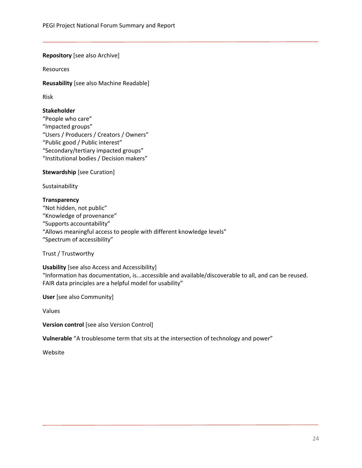# **Repository** [see also Archive]

Resources

**Reusability** [see also Machine Readable]

Risk

# **Stakeholder**

"People who care" "Impacted groups" "Users / Producers / Creators / Owners" "Public good / Public interest" "Secondary/tertiary impacted groups" "Institutional bodies / Decision makers"

# **Stewardship** [see Curation]

Sustainability

# **Transparency**

"Not hidden, not public" "Knowledge of provenance" "Supports accountability" "Allows meaningful access to people with different knowledge levels" "Spectrum of accessibility"

Trust / Trustworthy

**Usability** [see also Access and Accessibility] "Information has documentation, is...accessible and available/discoverable to all, and can be reused. FAIR data principles are a helpful model for usability"

**User** [see also Community]

Values

**Version control** [see also Version Control]

**Vulnerable** "A troublesome term that sits at the intersection of technology and power"

<span id="page-24-0"></span>Website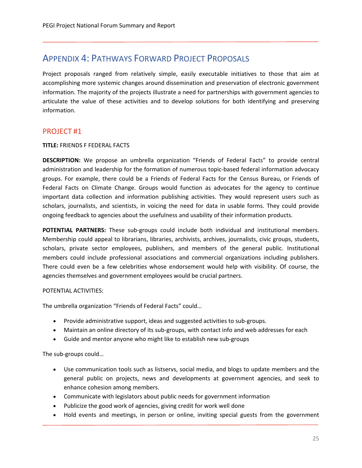# <span id="page-25-0"></span>APPENDIX 4: PATHWAYS FORWARD PROJECT PROPOSALS

Project proposals ranged from relatively simple, easily executable initiatives to those that aim at accomplishing more systemic changes around dissemination and preservation of electronic government information. The majority of the projects illustrate a need for partnerships with government agencies to articulate the value of these activities and to develop solutions for both identifying and preserving information.

# PROJECT #1

# **TITLE:** FRIENDS F FEDERAL FACTS

**DESCRIPTION:** We propose an umbrella organization "Friends of Federal Facts" to provide central administration and leadership for the formation of numerous topic-based federal information advocacy groups. For example, there could be a Friends of Federal Facts for the Census Bureau, or Friends of Federal Facts on Climate Change. Groups would function as advocates for the agency to continue important data collection and information publishing activities. They would represent users such as scholars, journalists, and scientists, in voicing the need for data in usable forms. They could provide ongoing feedback to agencies about the usefulness and usability of their information products.

**POTENTIAL PARTNERS:** These sub-groups could include both individual and institutional members. Membership could appeal to librarians, libraries, archivists, archives, journalists, civic groups, students, scholars, private sector employees, publishers, and members of the general public. Institutional members could include professional associations and commercial organizations including publishers. There could even be a few celebrities whose endorsement would help with visibility. Of course, the agencies themselves and government employees would be crucial partners.

# POTENTIAL ACTIVITIES:

The umbrella organization "Friends of Federal Facts" could…

- Provide administrative support, ideas and suggested activities to sub-groups.
- Maintain an online directory of its sub-groups, with contact info and web addresses for each
- Guide and mentor anyone who might like to establish new sub-groups

The sub-groups could…

- Use communication tools such as listservs, social media, and blogs to update members and the general public on projects, news and developments at government agencies, and seek to enhance cohesion among members.
- Communicate with legislators about public needs for government information
- Publicize the good work of agencies, giving credit for work well done
- Hold events and meetings, in person or online, inviting special guests from the government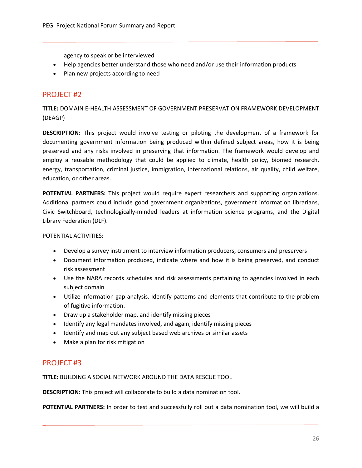agency to speak or be interviewed

- Help agencies better understand those who need and/or use their information products
- Plan new projects according to need

# PROJECT #2

**TITLE:** DOMAIN E-HEALTH ASSESSMENT OF GOVERNMENT PRESERVATION FRAMEWORK DEVELOPMENT (DEAGP)

**DESCRIPTION:** This project would involve testing or piloting the development of a framework for documenting government information being produced within defined subject areas, how it is being preserved and any risks involved in preserving that information. The framework would develop and employ a reusable methodology that could be applied to climate, health policy, biomed research, energy, transportation, criminal justice, immigration, international relations, air quality, child welfare, education, or other areas.

**POTENTIAL PARTNERS:** This project would require expert researchers and supporting organizations. Additional partners could include good government organizations, government information librarians, Civic Switchboard, technologically-minded leaders at information science programs, and the Digital Library Federation (DLF).

POTENTIAL ACTIVITIES:

- Develop a survey instrument to interview information producers, consumers and preservers
- Document information produced, indicate where and how it is being preserved, and conduct risk assessment
- Use the NARA records schedules and risk assessments pertaining to agencies involved in each subject domain
- Utilize information gap analysis. Identify patterns and elements that contribute to the problem of fugitive information.
- Draw up a stakeholder map, and identify missing pieces
- Identify any legal mandates involved, and again, identify missing pieces
- Identify and map out any subject based web archives or similar assets
- Make a plan for risk mitigation

# PROJECT #3

**TITLE:** BUILDING A SOCIAL NETWORK AROUND THE DATA RESCUE TOOL

**DESCRIPTION:** This project will collaborate to build a data nomination tool.

**POTENTIAL PARTNERS:** In order to test and successfully roll out a data nomination tool, we will build a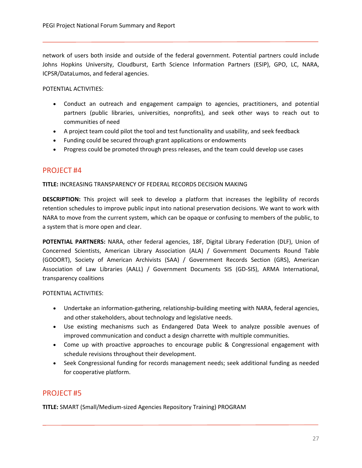network of users both inside and outside of the federal government. Potential partners could include Johns Hopkins University, Cloudburst, Earth Science Information Partners (ESIP), GPO, LC, NARA, ICPSR/DataLumos, and federal agencies.

POTENTIAL ACTIVITIES:

- Conduct an outreach and engagement campaign to agencies, practitioners, and potential partners (public libraries, universities, nonprofits), and seek other ways to reach out to communities of need
- A project team could pilot the tool and test functionality and usability, and seek feedback
- Funding could be secured through grant applications or endowments
- Progress could be promoted through press releases, and the team could develop use cases

# PROJECT #4

**TITLE:** INCREASING TRANSPARENCY OF FEDERAL RECORDS DECISION MAKING

**DESCRIPTION:** This project will seek to develop a platform that increases the legibility of records retention schedules to improve public input into national preservation decisions. We want to work with NARA to move from the current system, which can be opaque or confusing to members of the public, to a system that is more open and clear.

**POTENTIAL PARTNERS:** NARA, other federal agencies, 18F, Digital Library Federation (DLF), Union of Concerned Scientists, American Library Association (ALA) / Government Documents Round Table (GODORT), Society of American Archivists (SAA) / Government Records Section (GRS), American Association of Law Libraries (AALL) / Government Documents SIS (GD-SIS), ARMA International, transparency coalitions

POTENTIAL ACTIVITIES:

- Undertake an information-gathering, relationship-building meeting with NARA, federal agencies, and other stakeholders, about technology and legislative needs.
- Use existing mechanisms such as Endangered Data Week to analyze possible avenues of improved communication and conduct a design charrette with multiple communities.
- Come up with proactive approaches to encourage public & Congressional engagement with schedule revisions throughout their development.
- Seek Congressional funding for records management needs; seek additional funding as needed for cooperative platform.

# PROJECT #5

**TITLE:** SMART (Small/Medium-sized Agencies Repository Training) PROGRAM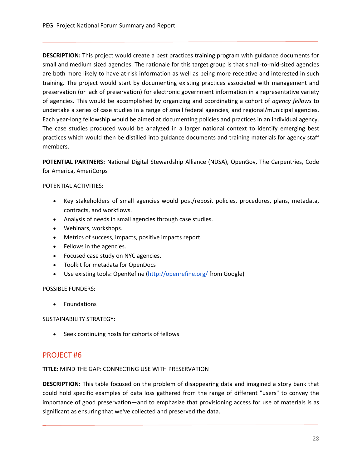**DESCRIPTION:** This project would create a best practices training program with guidance documents for small and medium sized agencies. The rationale for this target group is that small-to-mid-sized agencies are both more likely to have at-risk information as well as being more receptive and interested in such training. The project would start by documenting existing practices associated with management and preservation (or lack of preservation) for electronic government information in a representative variety of agencies. This would be accomplished by organizing and coordinating a cohort of *agency fellows* to undertake a series of case studies in a range of small federal agencies, and regional/municipal agencies. Each year-long fellowship would be aimed at documenting policies and practices in an individual agency. The case studies produced would be analyzed in a larger national context to identify emerging best practices which would then be distilled into guidance documents and training materials for agency staff members.

**POTENTIAL PARTNERS:** National Digital Stewardship Alliance (NDSA), OpenGov, The Carpentries, Code for America, AmeriCorps

# POTENTIAL ACTIVITIES:

- Key stakeholders of small agencies would post/reposit policies, procedures, plans, metadata, contracts, and workflows.
- Analysis of needs in small agencies through case studies.
- Webinars, workshops.
- Metrics of success, Impacts, positive impacts report.
- Fellows in the agencies.
- Focused case study on NYC agencies.
- Toolkit for metadata for OpenDocs
- Use existing tools: OpenRefine [\(http://openrefine.org/](http://openrefine.org/) from Google)

# POSSIBLE FUNDERS:

• Foundations

SUSTAINABILITY STRATEGY:

• Seek continuing hosts for cohorts of fellows

# PROJECT #6

**TITLE:** MIND THE GAP: CONNECTING USE WITH PRESERVATION

**DESCRIPTION:** This table focused on the problem of disappearing data and imagined a story bank that could hold specific examples of data loss gathered from the range of different "users" to convey the importance of good preservation—and to emphasize that provisioning access for use of materials is as significant as ensuring that we've collected and preserved the data.